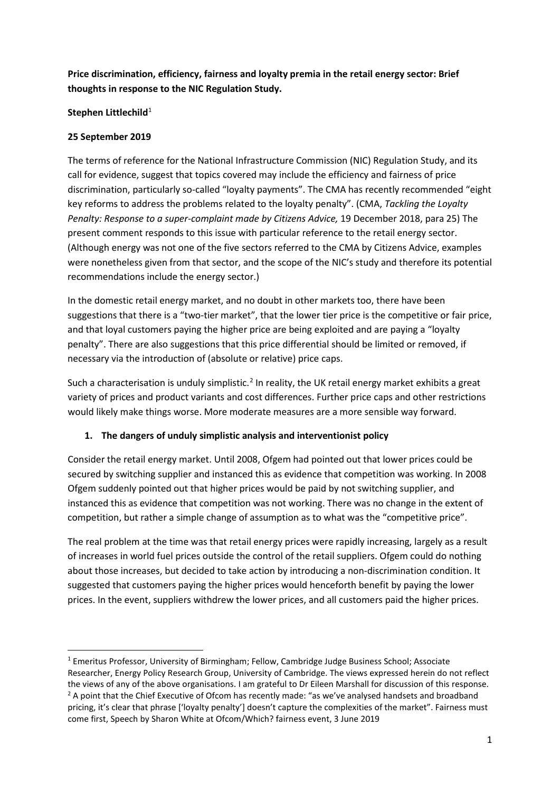**Price discrimination, efficiency, fairness and loyalty premia in the retail energy sector: Brief thoughts in response to the NIC Regulation Study.**

### **Stephen Littlechild**<sup>[1](#page-0-0)</sup>

### **25 September 2019**

The terms of reference for the National Infrastructure Commission (NIC) Regulation Study, and its call for evidence, suggest that topics covered may include the efficiency and fairness of price discrimination, particularly so-called "loyalty payments". The CMA has recently recommended "eight key reforms to address the problems related to the loyalty penalty". (CMA, *Tackling the Loyalty Penalty: Response to a super-complaint made by Citizens Advice,* 19 December 2018, para 25) The present comment responds to this issue with particular reference to the retail energy sector. (Although energy was not one of the five sectors referred to the CMA by Citizens Advice, examples were nonetheless given from that sector, and the scope of the NIC's study and therefore its potential recommendations include the energy sector.)

In the domestic retail energy market, and no doubt in other markets too, there have been suggestions that there is a "two-tier market", that the lower tier price is the competitive or fair price, and that loyal customers paying the higher price are being exploited and are paying a "loyalty penalty". There are also suggestions that this price differential should be limited or removed, if necessary via the introduction of (absolute or relative) price caps.

Such a characterisation is unduly simplistic.<sup>[2](#page-0-1)</sup> In reality, the UK retail energy market exhibits a great variety of prices and product variants and cost differences. Further price caps and other restrictions would likely make things worse. More moderate measures are a more sensible way forward.

## **1. The dangers of unduly simplistic analysis and interventionist policy**

Consider the retail energy market. Until 2008, Ofgem had pointed out that lower prices could be secured by switching supplier and instanced this as evidence that competition was working. In 2008 Ofgem suddenly pointed out that higher prices would be paid by not switching supplier, and instanced this as evidence that competition was not working. There was no change in the extent of competition, but rather a simple change of assumption as to what was the "competitive price".

The real problem at the time was that retail energy prices were rapidly increasing, largely as a result of increases in world fuel prices outside the control of the retail suppliers. Ofgem could do nothing about those increases, but decided to take action by introducing a non-discrimination condition. It suggested that customers paying the higher prices would henceforth benefit by paying the lower prices. In the event, suppliers withdrew the lower prices, and all customers paid the higher prices.

<span id="page-0-1"></span><span id="page-0-0"></span><sup>&</sup>lt;sup>1</sup> Emeritus Professor, University of Birmingham; Fellow, Cambridge Judge Business School; Associate Researcher, Energy Policy Research Group, University of Cambridge. The views expressed herein do not reflect the views of any of the above organisations. I am grateful to Dr Eileen Marshall for discussion of this response. <sup>2</sup> A point that the Chief Executive of Ofcom has recently made: "as we've analysed handsets and broadband pricing, it's clear that phrase ['loyalty penalty'] doesn't capture the complexities of the market". Fairness must come first, Speech by Sharon White at Ofcom/Which? fairness event, 3 June 2019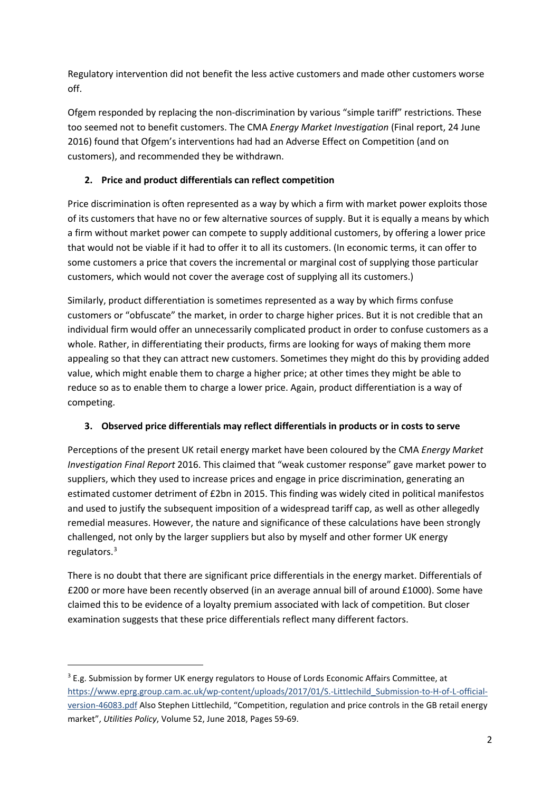Regulatory intervention did not benefit the less active customers and made other customers worse off.

Ofgem responded by replacing the non-discrimination by various "simple tariff" restrictions. These too seemed not to benefit customers. The CMA *Energy Market Investigation* (Final report, 24 June 2016) found that Ofgem's interventions had had an Adverse Effect on Competition (and on customers), and recommended they be withdrawn.

# **2. Price and product differentials can reflect competition**

Price discrimination is often represented as a way by which a firm with market power exploits those of its customers that have no or few alternative sources of supply. But it is equally a means by which a firm without market power can compete to supply additional customers, by offering a lower price that would not be viable if it had to offer it to all its customers. (In economic terms, it can offer to some customers a price that covers the incremental or marginal cost of supplying those particular customers, which would not cover the average cost of supplying all its customers.)

Similarly, product differentiation is sometimes represented as a way by which firms confuse customers or "obfuscate" the market, in order to charge higher prices. But it is not credible that an individual firm would offer an unnecessarily complicated product in order to confuse customers as a whole. Rather, in differentiating their products, firms are looking for ways of making them more appealing so that they can attract new customers. Sometimes they might do this by providing added value, which might enable them to charge a higher price; at other times they might be able to reduce so as to enable them to charge a lower price. Again, product differentiation is a way of competing.

## **3. Observed price differentials may reflect differentials in products or in costs to serve**

Perceptions of the present UK retail energy market have been coloured by the CMA *Energy Market Investigation Final Report* 2016. This claimed that "weak customer response" gave market power to suppliers, which they used to increase prices and engage in price discrimination, generating an estimated customer detriment of £2bn in 2015. This finding was widely cited in political manifestos and used to justify the subsequent imposition of a widespread tariff cap, as well as other allegedly remedial measures. However, the nature and significance of these calculations have been strongly challenged, not only by the larger suppliers but also by myself and other former UK energy regulators.[3](#page-1-0)

There is no doubt that there are significant price differentials in the energy market. Differentials of £200 or more have been recently observed (in an average annual bill of around £1000). Some have claimed this to be evidence of a loyalty premium associated with lack of competition. But closer examination suggests that these price differentials reflect many different factors.

<span id="page-1-0"></span> $3$  E.g. Submission by former UK energy regulators to House of Lords Economic Affairs Committee, at [https://www.eprg.group.cam.ac.uk/wp-content/uploads/2017/01/S.-Littlechild\\_Submission-to-H-of-L-official](https://www.eprg.group.cam.ac.uk/wp-content/uploads/2017/01/S.-Littlechild_Submission-to-H-of-L-official-version-46083.pdf)[version-46083.pdf](https://www.eprg.group.cam.ac.uk/wp-content/uploads/2017/01/S.-Littlechild_Submission-to-H-of-L-official-version-46083.pdf) Also Stephen Littlechild, "Competition, regulation and price controls in the GB retail energy market", *Utilities Policy*, Volume 52, June 2018, Pages 59-69.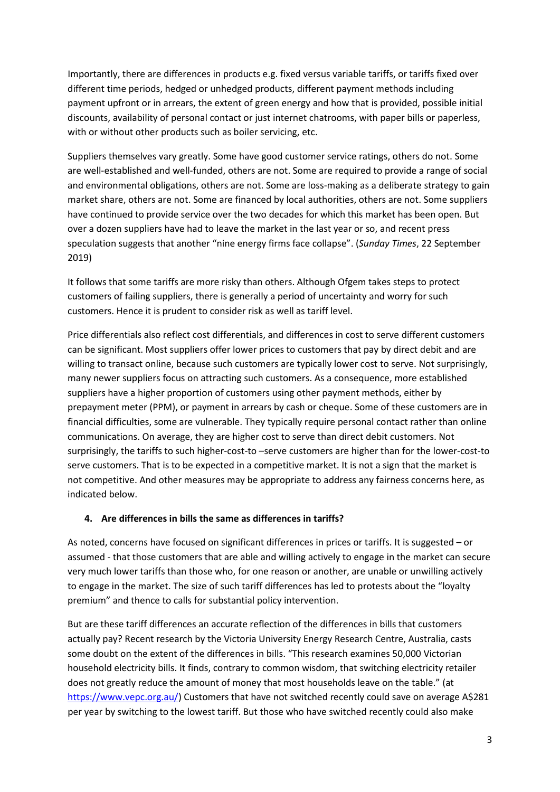Importantly, there are differences in products e.g. fixed versus variable tariffs, or tariffs fixed over different time periods, hedged or unhedged products, different payment methods including payment upfront or in arrears, the extent of green energy and how that is provided, possible initial discounts, availability of personal contact or just internet chatrooms, with paper bills or paperless, with or without other products such as boiler servicing, etc.

Suppliers themselves vary greatly. Some have good customer service ratings, others do not. Some are well-established and well-funded, others are not. Some are required to provide a range of social and environmental obligations, others are not. Some are loss-making as a deliberate strategy to gain market share, others are not. Some are financed by local authorities, others are not. Some suppliers have continued to provide service over the two decades for which this market has been open. But over a dozen suppliers have had to leave the market in the last year or so, and recent press speculation suggests that another "nine energy firms face collapse". (*Sunday Times*, 22 September 2019)

It follows that some tariffs are more risky than others. Although Ofgem takes steps to protect customers of failing suppliers, there is generally a period of uncertainty and worry for such customers. Hence it is prudent to consider risk as well as tariff level.

Price differentials also reflect cost differentials, and differences in cost to serve different customers can be significant. Most suppliers offer lower prices to customers that pay by direct debit and are willing to transact online, because such customers are typically lower cost to serve. Not surprisingly, many newer suppliers focus on attracting such customers. As a consequence, more established suppliers have a higher proportion of customers using other payment methods, either by prepayment meter (PPM), or payment in arrears by cash or cheque. Some of these customers are in financial difficulties, some are vulnerable. They typically require personal contact rather than online communications. On average, they are higher cost to serve than direct debit customers. Not surprisingly, the tariffs to such higher-cost-to –serve customers are higher than for the lower-cost-to serve customers. That is to be expected in a competitive market. It is not a sign that the market is not competitive. And other measures may be appropriate to address any fairness concerns here, as indicated below.

### **4. Are differences in bills the same as differences in tariffs?**

As noted, concerns have focused on significant differences in prices or tariffs. It is suggested – or assumed - that those customers that are able and willing actively to engage in the market can secure very much lower tariffs than those who, for one reason or another, are unable or unwilling actively to engage in the market. The size of such tariff differences has led to protests about the "loyalty premium" and thence to calls for substantial policy intervention.

But are these tariff differences an accurate reflection of the differences in bills that customers actually pay? Recent research by the Victoria University Energy Research Centre, Australia, casts some doubt on the extent of the differences in bills. "This research examines 50,000 Victorian household electricity bills. It finds, contrary to common wisdom, that switching electricity retailer does not greatly reduce the amount of money that most households leave on the table." (at [https://www.vepc.org.au/\)](https://www.vepc.org.au/) Customers that have not switched recently could save on average A\$281 per year by switching to the lowest tariff. But those who have switched recently could also make